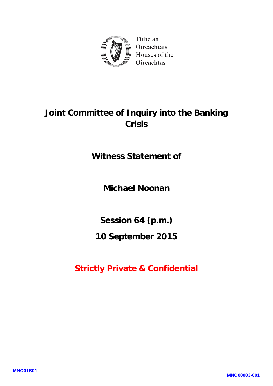

Tithe an Oireachtais Houses of the **Oireachtas** 

# **Joint Committee of Inquiry into the Banking Crisis**

**Witness Statement of**

**Michael Noonan**

**Session 64 (p.m.)**

**10 September 2015**

**Strictly Private & Confidential**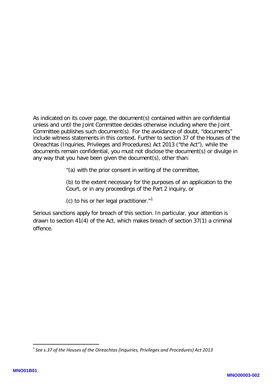As indicated on its cover page, the document(s) contained within are confidential unless and until the Joint Committee decides otherwise including where the Joint Committee publishes such document(s). For the avoidance of doubt, "documents" include witness statements in this context. Further to section 37 of the Houses of the Oireachtas (Inquiries, Privileges and Procedures) Act 2013 ("the Act"), while the documents remain confidential, you must not disclose the document(s) or divulge in any way that you have been given the document(s), other than:

"(a) with the prior consent in writing of the committee,

(b) to the extent necessary for the purposes of an application to the Court, or in any proceedings of the Part 2 inquiry, or

(c) to his or her legal practitioner. $1$ <sup>1</sup>

Serious sanctions apply for breach of this section. In particular, your attention is drawn to section 41(4) of the Act, which makes breach of section 37(1) a criminal offence.

**.** 

<span id="page-1-0"></span><sup>1</sup> *See s.37 of the Houses of the Oireachtas (Inquiries, Privileges and Procedures) Act 2013*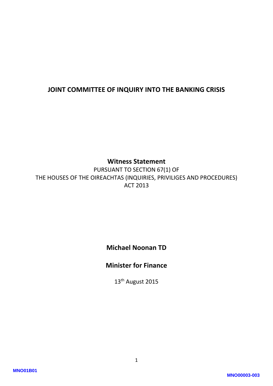### **JOINT COMMITTEE OF INQUIRY INTO THE BANKING CRISIS**

### **Witness Statement**

PURSUANT TO SECTION 67(1) OF THE HOUSES OF THE OIREACHTAS (INQUIRIES, PRIVILIGES AND PROCEDURES) ACT 2013

**Michael Noonan TD**

### **Minister for Finance**

13th August 2015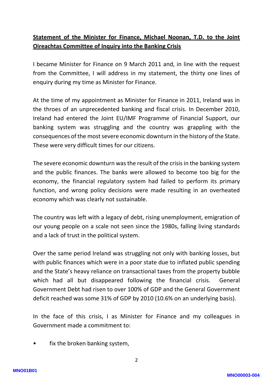### **Statement of the Minister for Finance, Michael Noonan, T.D. to the Joint Oireachtas Committee of Inquiry into the Banking Crisis**

I became Minister for Finance on 9 March 2011 and, in line with the request from the Committee, I will address in my statement, the thirty one lines of enquiry during my time as Minister for Finance.

At the time of my appointment as Minister for Finance in 2011, Ireland was in the throes of an unprecedented banking and fiscal crisis. In December 2010, Ireland had entered the Joint EU/IMF Programme of Financial Support, our banking system was struggling and the country was grappling with the consequences of the most severe economic downturn in the history of the State. These were very difficult times for our citizens.

The severe economic downturn was the result of the crisis in the banking system and the public finances. The banks were allowed to become too big for the economy, the financial regulatory system had failed to perform its primary function, and wrong policy decisions were made resulting in an overheated economy which was clearly not sustainable.

The country was left with a legacy of debt, rising unemployment, emigration of our young people on a scale not seen since the 1980s, falling living standards and a lack of trust in the political system.

Over the same period Ireland was struggling not only with banking losses, but with public finances which were in a poor state due to inflated public spending and the State's heavy reliance on transactional taxes from the property bubble which had all but disappeared following the financial crisis. General Government Debt had risen to over 100% of GDP and the General Government deficit reached was some 31% of GDP by 2010 (10.6% on an underlying basis).

In the face of this crisis, I as Minister for Finance and my colleagues in Government made a commitment to:

• fix the broken banking system,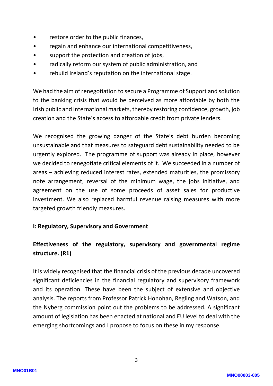- restore order to the public finances,
- regain and enhance our international competitiveness,
- support the protection and creation of jobs,
- radically reform our system of public administration, and
- rebuild Ireland's reputation on the international stage.

We had the aim of renegotiation to secure a Programme of Support and solution to the banking crisis that would be perceived as more affordable by both the Irish public and international markets, thereby restoring confidence, growth, job creation and the State's access to affordable credit from private lenders.

We recognised the growing danger of the State's debt burden becoming unsustainable and that measures to safeguard debt sustainability needed to be urgently explored. The programme of support was already in place, however we decided to renegotiate critical elements of it. We succeeded in a number of areas – achieving reduced interest rates, extended maturities, the promissory note arrangement, reversal of the minimum wage, the jobs initiative, and agreement on the use of some proceeds of asset sales for productive investment. We also replaced harmful revenue raising measures with more targeted growth friendly measures.

### **I: Regulatory, Supervisory and Government**

### **Effectiveness of the regulatory, supervisory and governmental regime structure. (R1)**

It is widely recognised that the financial crisis of the previous decade uncovered significant deficiencies in the financial regulatory and supervisory framework and its operation. These have been the subject of extensive and objective analysis. The reports from Professor Patrick Honohan, Regling and Watson, and the Nyberg commission point out the problems to be addressed. A significant amount of legislation has been enacted at national and EU level to deal with the emerging shortcomings and I propose to focus on these in my response.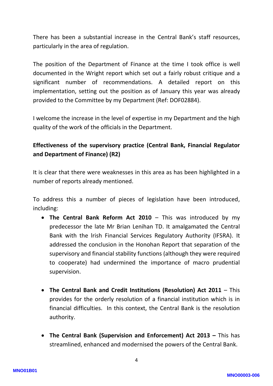There has been a substantial increase in the Central Bank's staff resources, particularly in the area of regulation.

The position of the Department of Finance at the time I took office is well documented in the Wright report which set out a fairly robust critique and a significant number of recommendations. A detailed report on this implementation, setting out the position as of January this year was already provided to the Committee by my Department (Ref: DOF02884).

I welcome the increase in the level of expertise in my Department and the high quality of the work of the officials in the Department.

# **Effectiveness of the supervisory practice (Central Bank, Financial Regulator and Department of Finance) (R2)**

It is clear that there were weaknesses in this area as has been highlighted in a number of reports already mentioned.

To address this a number of pieces of legislation have been introduced, including:

- **The Central Bank Reform Act 2010** This was introduced by my predecessor the late Mr Brian Lenihan TD. It amalgamated the Central Bank with the lrish Financial Services Regulatory Authority (IFSRA). It addressed the conclusion in the Honohan Report that separation of the supervisory and financial stability functions (although they were required to cooperate) had undermined the importance of macro prudential supervision.
- **The Central Bank and Credit Institutions (Resolution) Act 2011** This provides for the orderly resolution of a financial institution which is in financial difficulties. In this context, the Central Bank is the resolution authority.
- **The Central Bank (Supervision and Enforcement) Act 2013 –** This has streamlined, enhanced and modernised the powers of the Central Bank.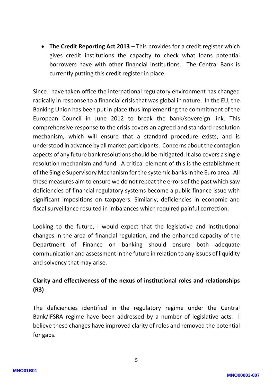**The Credit Reporting Act 2013** – This provides for a credit register which gives credit institutions the capacity to check what loans potential borrowers have with other financial institutions. The Central Bank is currently putting this credit register in place.

Since I have taken office the international regulatory environment has changed radically in response to a financial crisis that was global in nature. In the EU, the Banking Union has been put in place thus implementing the commitment of the European Council in June 2012 to break the bank/sovereign link. This comprehensive response to the crisis covers an agreed and standard resolution mechanism, which will ensure that a standard procedure exists, and is understood in advance by all market participants. Concerns about the contagion aspects of any future bank resolutions should be mitigated. It also covers a single resolution mechanism and fund. A critical element of this is the establishment of the Single Supervisory Mechanism for the systemic banks in the Euro area. All these measures aim to ensure we do not repeat the errors of the past which saw deficiencies of financial regulatory systems become a public finance issue with significant impositions on taxpayers. Similarly, deficiencies in economic and fiscal surveillance resulted in imbalances which required painful correction.

Looking to the future, I would expect that the legislative and institutional changes in the area of financial regulation, and the enhanced capacity of the Department of Finance on banking should ensure both adequate communication and assessment in the future in relation to any issues of liquidity and solvency that may arise.

# **Clarity and effectiveness of the nexus of institutional roles and relationships (R3)**

The deficiencies identified in the regulatory regime under the Central Bank/IFSRA regime have been addressed by a number of legislative acts. I believe these changes have improved clarity of roles and removed the potential for gaps.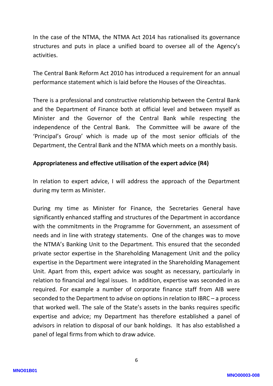In the case of the NTMA, the NTMA Act 2014 has rationalised its governance structures and puts in place a unified board to oversee all of the Agency's activities.

The Central Bank Reform Act 2010 has introduced a requirement for an annual performance statement which is laid before the Houses of the Oireachtas.

There is a professional and constructive relationship between the Central Bank and the Department of Finance both at official level and between myself as Minister and the Governor of the Central Bank while respecting the independence of the Central Bank. The Committee will be aware of the 'Principal's Group' which is made up of the most senior officials of the Department, the Central Bank and the NTMA which meets on a monthly basis.

#### **Appropriateness and effective utilisation of the expert advice (R4)**

In relation to expert advice, I will address the approach of the Department during my term as Minister.

During my time as Minister for Finance, the Secretaries General have significantly enhanced staffing and structures of the Department in accordance with the commitments in the Programme for Government, an assessment of needs and in line with strategy statements. One of the changes was to move the NTMA's Banking Unit to the Department. This ensured that the seconded private sector expertise in the Shareholding Management Unit and the policy expertise in the Department were integrated in the Shareholding Management Unit. Apart from this, expert advice was sought as necessary, particularly in relation to financial and legal issues. In addition, expertise was seconded in as required. For example a number of corporate finance staff from AIB were seconded to the Department to advise on options in relation to IBRC – a process that worked well. The sale of the State's assets in the banks requires specific expertise and advice; my Department has therefore established a panel of advisors in relation to disposal of our bank holdings. It has also established a panel of legal firms from which to draw advice.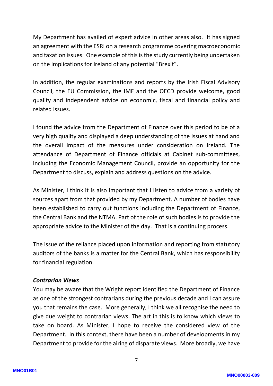My Department has availed of expert advice in other areas also. It has signed an agreement with the ESRI on a research programme covering macroeconomic and taxation issues. One example of this is the study currently being undertaken on the implications for Ireland of any potential "Brexit".

In addition, the regular examinations and reports by the Irish Fiscal Advisory Council, the EU Commission, the IMF and the OECD provide welcome, good quality and independent advice on economic, fiscal and financial policy and related issues.

I found the advice from the Department of Finance over this period to be of a very high quality and displayed a deep understanding of the issues at hand and the overall impact of the measures under consideration on Ireland. The attendance of Department of Finance officials at Cabinet sub-committees, including the Economic Management Council, provide an opportunity for the Department to discuss, explain and address questions on the advice.

As Minister, I think it is also important that I listen to advice from a variety of sources apart from that provided by my Department. A number of bodies have been established to carry out functions including the Department of Finance, the Central Bank and the NTMA. Part of the role of such bodies is to provide the appropriate advice to the Minister of the day. That is a continuing process.

The issue of the reliance placed upon information and reporting from statutory auditors of the banks is a matter for the Central Bank, which has responsibility for financial regulation.

#### *Contrarian Views*

You may be aware that the Wright report identified the Department of Finance as one of the strongest contrarians during the previous decade and I can assure you that remains the case. More generally, I think we all recognise the need to give due weight to contrarian views. The art in this is to know which views to take on board. As Minister, I hope to receive the considered view of the Department. In this context, there have been a number of developments in my Department to provide for the airing of disparate views. More broadly, we have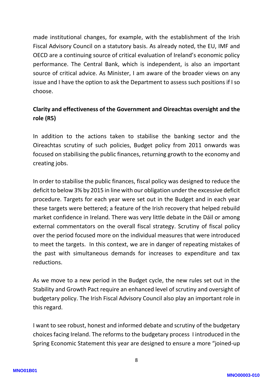made institutional changes, for example, with the establishment of the Irish Fiscal Advisory Council on a statutory basis. As already noted, the EU, IMF and OECD are a continuing source of critical evaluation of Ireland's economic policy performance. The Central Bank, which is independent, is also an important source of critical advice. As Minister, I am aware of the broader views on any issue and I have the option to ask the Department to assess such positions if I so choose.

### **Clarity and effectiveness of the Government and Oireachtas oversight and the role (R5)**

In addition to the actions taken to stabilise the banking sector and the Oireachtas scrutiny of such policies, Budget policy from 2011 onwards was focused on stabilising the public finances, returning growth to the economy and creating jobs.

In order to stabilise the public finances, fiscal policy was designed to reduce the deficit to below 3% by 2015 in line with our obligation under the excessive deficit procedure. Targets for each year were set out in the Budget and in each year these targets were bettered; a feature of the Irish recovery that helped rebuild market confidence in Ireland. There was very little debate in the Dáil or among external commentators on the overall fiscal strategy. Scrutiny of fiscal policy over the period focused more on the individual measures that were introduced to meet the targets. In this context, we are in danger of repeating mistakes of the past with simultaneous demands for increases to expenditure and tax reductions.

As we move to a new period in the Budget cycle, the new rules set out in the Stability and Growth Pact require an enhanced level of scrutiny and oversight of budgetary policy. The Irish Fiscal Advisory Council also play an important role in this regard.

I want to see robust, honest and informed debate and scrutiny of the budgetary choices facing Ireland. The reforms to the budgetary process I introduced in the Spring Economic Statement this year are designed to ensure a more "joined‐up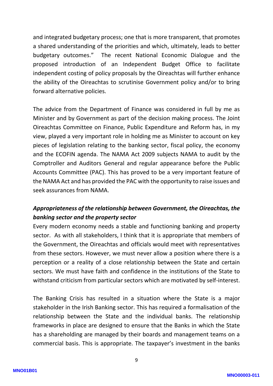and integrated budgetary process; one that is more transparent, that promotes a shared understanding of the priorities and which, ultimately, leads to better budgetary outcomes." The recent National Economic Dialogue and the proposed introduction of an Independent Budget Office to facilitate independent costing of policy proposals by the Oireachtas will further enhance the ability of the Oireachtas to scrutinise Government policy and/or to bring forward alternative policies.

The advice from the Department of Finance was considered in full by me as Minister and by Government as part of the decision making process. The Joint Oireachtas Committee on Finance, Public Expenditure and Reform has, in my view, played a very important role in holding me as Minister to account on key pieces of legislation relating to the banking sector, fiscal policy, the economy and the ECOFIN agenda. The NAMA Act 2009 subjects NAMA to audit by the Comptroller and Auditors General and regular appearance before the Public Accounts Committee (PAC). This has proved to be a very important feature of the NAMA Act and has provided the PAC with the opportunity to raise issues and seek assurances from NAMA.

### *Appropriateness of the relationship between Government, the Oireachtas, the banking sector and the property sector*

Every modern economy needs a stable and functioning banking and property sector. As with all stakeholders, I think that it is appropriate that members of the Government, the Oireachtas and officials would meet with representatives from these sectors. However, we must never allow a position where there is a perception or a reality of a close relationship between the State and certain sectors. We must have faith and confidence in the institutions of the State to withstand criticism from particular sectors which are motivated by self-interest.

The Banking Crisis has resulted in a situation where the State is a major stakeholder in the Irish Banking sector. This has required a formalisation of the relationship between the State and the individual banks. The relationship frameworks in place are designed to ensure that the Banks in which the State has a shareholding are managed by their boards and management teams on a commercial basis. This is appropriate. The taxpayer's investment in the banks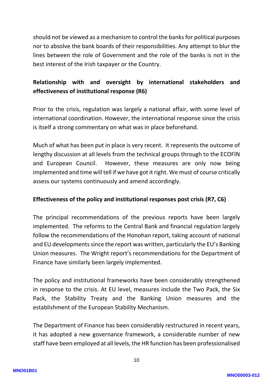should not be viewed as a mechanism to control the banks for political purposes nor to absolve the bank boards of their responsibilities. Any attempt to blur the lines between the role of Government and the role of the banks is not in the best interest of the Irish taxpayer or the Country.

### **Relationship with and oversight by international stakeholders and effectiveness of institutional response (R6)**

Prior to the crisis, regulation was largely a national affair, with some level of international coordination. However, the international response since the crisis is itself a strong commentary on what was in place beforehand.

Much of what has been put in place is very recent. It represents the outcome of lengthy discussion at all levels from the technical groups through to the ECOFIN and European Council. However, these measures are only now being implemented and time will tell if we have got it right. We must of course critically assess our systems continuously and amend accordingly.

### **Effectiveness of the policy and institutional responses post crisis (R7, C6)**

The principal recommendations of the previous reports have been largely implemented. The reforms to the Central Bank and financial regulation largely follow the recommendations of the Honohan report, taking account of national and EU developments since the report was written, particularly the EU's Banking Union measures. The Wright report's recommendations for the Department of Finance have similarly been largely implemented.

The policy and institutional frameworks have been considerably strengthened in response to the crisis. At EU level, measures include the Two Pack, the Six Pack, the Stability Treaty and the Banking Union measures and the establishment of the European Stability Mechanism.

The Department of Finance has been considerably restructured in recent years, it has adopted a new governance framework, a considerable number of new staff have been employed at all levels, the HR function has been professionalised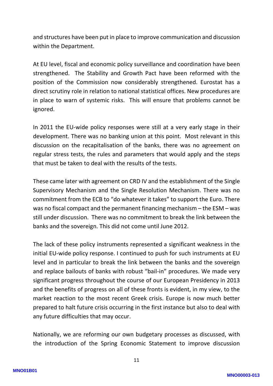and structures have been put in place to improve communication and discussion within the Department.

At EU level, fiscal and economic policy surveillance and coordination have been strengthened. The Stability and Growth Pact have been reformed with the position of the Commission now considerably strengthened. Eurostat has a direct scrutiny role in relation to national statistical offices. New procedures are in place to warn of systemic risks. This will ensure that problems cannot be ignored.

In 2011 the EU-wide policy responses were still at a very early stage in their development. There was no banking union at this point. Most relevant in this discussion on the recapitalisation of the banks, there was no agreement on regular stress tests, the rules and parameters that would apply and the steps that must be taken to deal with the results of the tests.

These came later with agreement on CRD IV and the establishment of the Single Supervisory Mechanism and the Single Resolution Mechanism. There was no commitment from the ECB to "do whatever it takes" to support the Euro. There was no fiscal compact and the permanent financing mechanism – the ESM – was still under discussion. There was no commitment to break the link between the banks and the sovereign. This did not come until June 2012.

The lack of these policy instruments represented a significant weakness in the initial EU-wide policy response. I continued to push for such instruments at EU level and in particular to break the link between the banks and the sovereign and replace bailouts of banks with robust "bail-in" procedures. We made very significant progress throughout the course of our European Presidency in 2013 and the benefits of progress on all of these fronts is evident, in my view, to the market reaction to the most recent Greek crisis. Europe is now much better prepared to halt future crisis occurring in the first instance but also to deal with any future difficulties that may occur.

Nationally, we are reforming our own budgetary processes as discussed, with the introduction of the Spring Economic Statement to improve discussion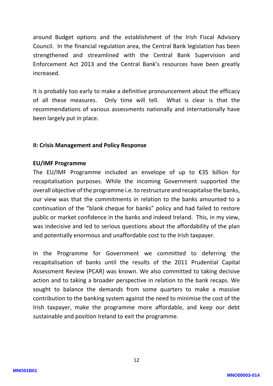around Budget options and the establishment of the Irish Fiscal Advisory Council. In the financial regulation area, the Central Bank legislation has been strengthened and streamlined with the Central Bank Supervision and Enforcement Act 2013 and the Central Bank's resources have been greatly increased.

It is probably too early to make a definitive pronouncement about the efficacy of all these measures. Only time will tell. What is clear is that the recommendations of various assessments nationally and internationally have been largely put in place.

#### **II: Crisis Management and Policy Response**

#### **EU/IMF Programme**

The EU/IMF Programme included an envelope of up to €35 billion for recapitalisation purposes. While the incoming Government supported the overall objective of the programme i.e. to restructure and recapitalise the banks, our view was that the commitments in relation to the banks amounted to a continuation of the "blank cheque for banks" policy and had failed to restore public or market confidence in the banks and indeed Ireland. This, in my view, was indecisive and led to serious questions about the affordability of the plan and potentially enormous and unaffordable cost to the Irish taxpayer.

In the Programme for Government we committed to deferring the recapitalisation of banks until the results of the 2011 Prudential Capital Assessment Review (PCAR) was known. We also committed to taking decisive action and to taking a broader perspective in relation to the bank recaps. We sought to balance the demands from some quarters to make a massive contribution to the banking system against the need to minimise the cost of the Irish taxpayer, make the programme more affordable, and keep our debt sustainable and position Ireland to exit the programme.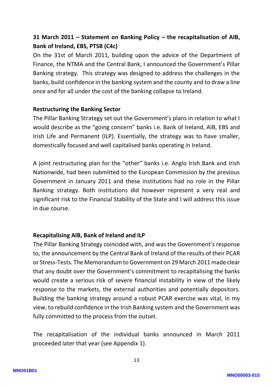### **31 March 2011 – Statement on Banking Policy – the recapitalisation of AIB, Bank of Ireland, EBS, PTSB (C4c)**

On the 31st of March 2011, building upon the advice of the Department of Finance, the NTMA and the Central Bank, I announced the Government's Pillar Banking strategy. This strategy was designed to address the challenges in the banks, build confidence in the banking system and the county and to draw a line once and for all under the cost of the banking collapse to Ireland.

#### **Restructuring the Banking Sector**

The Pillar Banking Strategy set out the Government's plans in relation to what I would describe as the "going concern" banks i.e. Bank of Ireland, AIB, EBS and Irish Life and Permanent (ILP). Essentially, the strategy was to have smaller, domestically focused and well capitalised banks operating in Ireland.

A joint restructuring plan for the "other" banks i.e. Anglo Irish Bank and Irish Nationwide, had been submitted to the European Commission by the previous Government in January 2011 and these institutions had no role in the Pillar Banking strategy. Both institutions did however represent a very real and significant risk to the Financial Stability of the State and I will address this issue in due course.

#### **Recapitalising AIB, Bank of Ireland and ILP**

The Pillar Banking Strategy coincided with, and was the Government's response to, the announcement by the Central Bank of Ireland of the results of their PCAR or Stress-Tests. The Memorandum to Government on 29 March 2011 made clear that any doubt over the Government's commitment to recapitalising the banks would create a serious risk of severe financial instability in view of the likely response to the markets, the external authorities and potentially depositors. Building the banking strategy around a robust PCAR exercise was vital, in my view, to rebuild confidence in the Irish Banking system and the Government was fully committed to the process from the outset.

The recapitalisation of the individual banks announced in March 2011 proceeded later that year (see Appendix 1).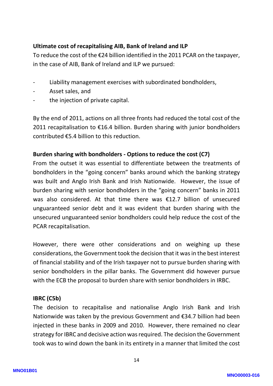### **Ultimate cost of recapitalising AIB, Bank of Ireland and ILP**

To reduce the cost of the €24 billion identified in the 2011 PCAR on the taxpayer, in the case of AIB, Bank of Ireland and ILP we pursued:

- Liability management exercises with subordinated bondholders,
- Asset sales, and
- the injection of private capital.

By the end of 2011, actions on all three fronts had reduced the total cost of the 2011 recapitalisation to  $\epsilon$ 16.4 billion. Burden sharing with junior bondholders contributed €5.4 billion to this reduction.

### **Burden sharing with bondholders - Options to reduce the cost (C7)**

From the outset it was essential to differentiate between the treatments of bondholders in the "going concern" banks around which the banking strategy was built and Anglo Irish Bank and Irish Nationwide. However, the issue of burden sharing with senior bondholders in the "going concern" banks in 2011 was also considered. At that time there was €12.7 billion of unsecured unguaranteed senior debt and it was evident that burden sharing with the unsecured unguaranteed senior bondholders could help reduce the cost of the PCAR recapitalisation.

However, there were other considerations and on weighing up these considerations, the Government took the decision that it was in the best interest of financial stability and of the Irish taxpayer not to pursue burden sharing with senior bondholders in the pillar banks. The Government did however pursue with the ECB the proposal to burden share with senior bondholders in IRBC.

#### **IBRC (C5b)**

The decision to recapitalise and nationalise Anglo Irish Bank and Irish Nationwide was taken by the previous Government and €34.7 billion had been injected in these banks in 2009 and 2010. However, there remained no clear strategy for IBRC and decisive action was required. The decision the Government took was to wind down the bank in its entirety in a manner that limited the cost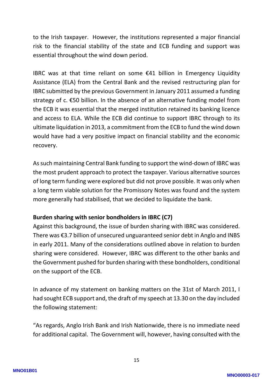to the Irish taxpayer. However, the institutions represented a major financial risk to the financial stability of the state and ECB funding and support was essential throughout the wind down period.

IBRC was at that time reliant on some €41 billion in Emergency Liquidity Assistance (ELA) from the Central Bank and the revised restructuring plan for IBRC submitted by the previous Government in January 2011 assumed a funding strategy of c. €50 billion. In the absence of an alternative funding model from the ECB it was essential that the merged institution retained its banking licence and access to ELA. While the ECB did continue to support IBRC through to its ultimate liquidation in 2013, a commitment from the ECB to fund the wind down would have had a very positive impact on financial stability and the economic recovery.

As such maintaining Central Bank funding to support the wind-down of IBRC was the most prudent approach to protect the taxpayer. Various alternative sources of long term funding were explored but did not prove possible. It was only when a long term viable solution for the Promissory Notes was found and the system more generally had stabilised, that we decided to liquidate the bank.

### **Burden sharing with senior bondholders in IBRC (C7)**

Against this background, the issue of burden sharing with IBRC was considered. There was €3.7 billion of unsecured unguaranteed senior debt in Anglo and INBS in early 2011. Many of the considerations outlined above in relation to burden sharing were considered. However, IBRC was different to the other banks and the Government pushed for burden sharing with these bondholders, conditional on the support of the ECB.

In advance of my statement on banking matters on the 31st of March 2011, I had sought ECB support and, the draft of my speech at 13.30 on the day included the following statement:

"As regards, Anglo Irish Bank and Irish Nationwide, there is no immediate need for additional capital. The Government will, however, having consulted with the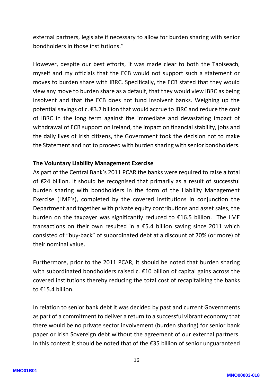external partners, legislate if necessary to allow for burden sharing with senior bondholders in those institutions."

However, despite our best efforts, it was made clear to both the Taoiseach, myself and my officials that the ECB would not support such a statement or moves to burden share with IBRC. Specifically, the ECB stated that they would view any move to burden share as a default, that they would view IBRC as being insolvent and that the ECB does not fund insolvent banks. Weighing up the potential savings of c. €3.7 billion that would accrue to IBRC and reduce the cost of IBRC in the long term against the immediate and devastating impact of withdrawal of ECB support on Ireland, the impact on financial stability, jobs and the daily lives of Irish citizens, the Government took the decision not to make the Statement and not to proceed with burden sharing with senior bondholders.

#### **The Voluntary Liability Management Exercise**

As part of the Central Bank's 2011 PCAR the banks were required to raise a total of €24 billion. It should be recognised that primarily as a result of successful burden sharing with bondholders in the form of the Liability Management Exercise (LME's), completed by the covered institutions in conjunction the Department and together with private equity contributions and asset sales, the burden on the taxpayer was significantly reduced to €16.5 billion. The LME transactions on their own resulted in a €5.4 billion saving since 2011 which consisted of "buy-back" of subordinated debt at a discount of 70% (or more) of their nominal value.

Furthermore, prior to the 2011 PCAR, it should be noted that burden sharing with subordinated bondholders raised c. €10 billion of capital gains across the covered institutions thereby reducing the total cost of recapitalising the banks to €15.4 billion.

In relation to senior bank debt it was decided by past and current Governments as part of a commitment to deliver a return to a successful vibrant economy that there would be no private sector involvement (burden sharing) for senior bank paper or Irish Sovereign debt without the agreement of our external partners. In this context it should be noted that of the €35 billion of senior unguaranteed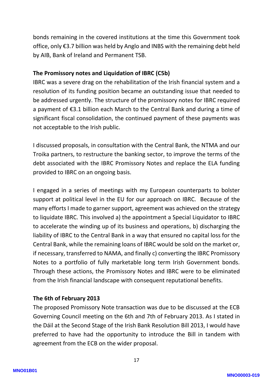bonds remaining in the covered institutions at the time this Government took office, only €3.7 billion was held by Anglo and INBS with the remaining debt held by AIB, Bank of Ireland and Permanent TSB.

### **The Promissory notes and Liquidation of IBRC (C5b)**

IBRC was a severe drag on the rehabilitation of the Irish financial system and a resolution of its funding position became an outstanding issue that needed to be addressed urgently. The structure of the promissory notes for IBRC required a payment of €3.1 billion each March to the Central Bank and during a time of significant fiscal consolidation, the continued payment of these payments was not acceptable to the Irish public.

I discussed proposals, in consultation with the Central Bank, the NTMA and our Troika partners, to restructure the banking sector, to improve the terms of the debt associated with the IBRC Promissory Notes and replace the ELA funding provided to IBRC on an ongoing basis.

I engaged in a series of meetings with my European counterparts to bolster support at political level in the EU for our approach on IBRC. Because of the many efforts I made to garner support, agreement was achieved on the strategy to liquidate IBRC. This involved a) the appointment a Special Liquidator to IBRC to accelerate the winding up of its business and operations, b) discharging the liability of IBRC to the Central Bank in a way that ensured no capital loss for the Central Bank, while the remaining loans of IBRC would be sold on the market or, if necessary, transferred to NAMA, and finally c) converting the IBRC Promissory Notes to a portfolio of fully marketable long term Irish Government bonds. Through these actions, the Promissory Notes and IBRC were to be eliminated from the Irish financial landscape with consequent reputational benefits.

#### **The 6th of February 2013**

The proposed Promissory Note transaction was due to be discussed at the ECB Governing Council meeting on the 6th and 7th of February 2013. As I stated in the Dáil at the Second Stage of the Irish Bank Resolution Bill 2013, I would have preferred to have had the opportunity to introduce the Bill in tandem with agreement from the ECB on the wider proposal.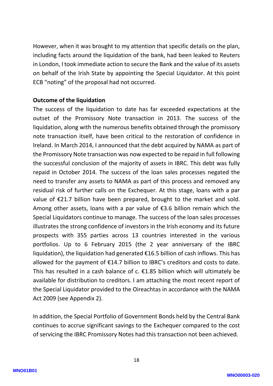However, when it was brought to my attention that specific details on the plan, including facts around the liquidation of the bank, had been leaked to Reuters in London, I took immediate action to secure the Bank and the value of its assets on behalf of the Irish State by appointing the Special Liquidator. At this point ECB "noting" of the proposal had not occurred.

#### **Outcome of the liquidation**

The success of the liquidation to date has far exceeded expectations at the outset of the Promissory Note transaction in 2013. The success of the liquidation, along with the numerous benefits obtained through the promissory note transaction itself, have been critical to the restoration of confidence in Ireland. In March 2014, I announced that the debt acquired by NAMA as part of the Promissory Note transaction was now expected to be repaid in full following the successful conclusion of the majority of assets in IBRC. This debt was fully repaid in October 2014. The success of the loan sales processes negated the need to transfer any assets to NAMA as part of this process and removed any residual risk of further calls on the Exchequer. At this stage, loans with a par value of €21.7 billion have been prepared, brought to the market and sold. Among other assets, loans with a par value of €3.6 billion remain which the Special Liquidators continue to manage. The success of the loan sales processes illustrates the strong confidence of investors in the Irish economy and its future prospects with 355 parties across 13 countries interested in the various portfolios. Up to 6 February 2015 (the 2 year anniversary of the IBRC liquidation), the liquidation had generated €16.5 billion of cash inflows. This has allowed for the payment of  $E14.7$  billion to IBRC's creditors and costs to date. This has resulted in a cash balance of c.  $\epsilon$ 1.85 billion which will ultimately be available for distribution to creditors. I am attaching the most recent report of the Special Liquidator provided to the Oireachtas in accordance with the NAMA Act 2009 (see Appendix 2).

In addition, the Special Portfolio of Government Bonds held by the Central Bank continues to accrue significant savings to the Exchequer compared to the cost of servicing the IBRC Promissory Notes had this transaction not been achieved.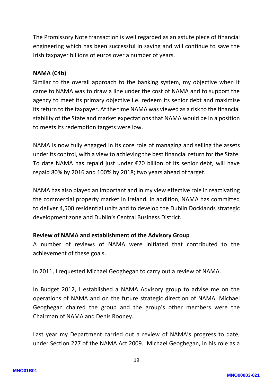The Promissory Note transaction is well regarded as an astute piece of financial engineering which has been successful in saving and will continue to save the Irish taxpayer billions of euros over a number of years.

#### **NAMA (C4b)**

Similar to the overall approach to the banking system, my objective when it came to NAMA was to draw a line under the cost of NAMA and to support the agency to meet its primary objective i.e. redeem its senior debt and maximise its return to the taxpayer. At the time NAMA was viewed as a risk to the financial stability of the State and market expectations that NAMA would be in a position to meets its redemption targets were low.

NAMA is now fully engaged in its core role of managing and selling the assets under its control, with a view to achieving the best financial return for the State. To date NAMA has repaid just under €20 billion of its senior debt, will have repaid 80% by 2016 and 100% by 2018; two years ahead of target.

NAMA has also played an important and in my view effective role in reactivating the commercial property market in Ireland. In addition, NAMA has committed to deliver 4,500 residential units and to develop the Dublin Docklands strategic development zone and Dublin's Central Business District.

#### **Review of NAMA and establishment of the Advisory Group**

A number of reviews of NAMA were initiated that contributed to the achievement of these goals.

In 2011, I requested Michael Geoghegan to carry out a review of NAMA.

In Budget 2012, I established a NAMA Advisory group to advise me on the operations of NAMA and on the future strategic direction of NAMA. Michael Geoghegan chaired the group and the group's other members were the Chairman of NAMA and Denis Rooney.

Last year my Department carried out a review of NAMA's progress to date, under Section 227 of the NAMA Act 2009. Michael Geoghegan, in his role as a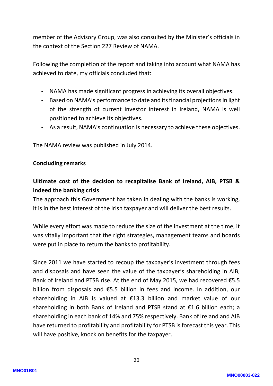member of the Advisory Group, was also consulted by the Minister's officials in the context of the Section 227 Review of NAMA.

Following the completion of the report and taking into account what NAMA has achieved to date, my officials concluded that:

- NAMA has made significant progress in achieving its overall objectives.
- Based on NAMA's performance to date and its financial projections in light of the strength of current investor interest in Ireland, NAMA is well positioned to achieve its objectives.
- As a result, NAMA's continuation is necessary to achieve these objectives.

The NAMA review was published in July 2014.

#### **Concluding remarks**

# **Ultimate cost of the decision to recapitalise Bank of Ireland, AIB, PTSB & indeed the banking crisis**

The approach this Government has taken in dealing with the banks is working, it is in the best interest of the Irish taxpayer and will deliver the best results.

While every effort was made to reduce the size of the investment at the time, it was vitally important that the right strategies, management teams and boards were put in place to return the banks to profitability.

Since 2011 we have started to recoup the taxpayer's investment through fees and disposals and have seen the value of the taxpayer's shareholding in AIB, Bank of Ireland and PTSB rise. At the end of May 2015, we had recovered €5.5 billion from disposals and €5.5 billion in fees and income. In addition, our shareholding in AIB is valued at €13.3 billion and market value of our shareholding in both Bank of Ireland and PTSB stand at €1.6 billion each; a shareholding in each bank of 14% and 75% respectively. Bank of Ireland and AIB have returned to profitability and profitability for PTSB is forecast this year. This will have positive, knock on benefits for the taxpayer.